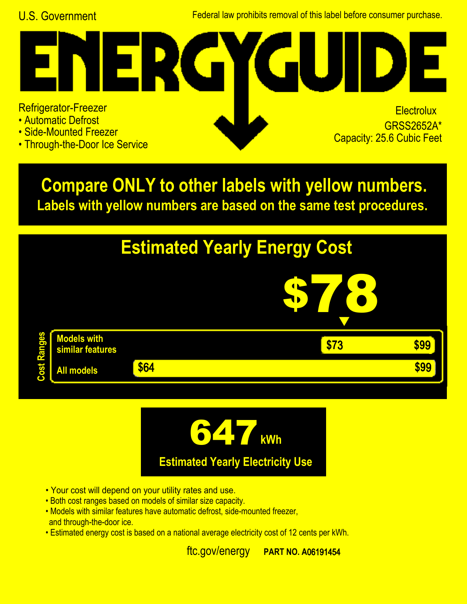U.S. Government Federal law prohibits removal of this label before consumer purchase.

## Refrigerator-Freezer

 $\Box$ 

- Automatic Defrost
- Side-Mounted Freezer
- Through-the-Door Ice Service

## **Electrolux GRSS2652A\***<br>Capacity: 25.6 Cubic Feet

**Labels with yellow numbers are based on the same test procedures. Compare ONLY to other labels with yellow numbers.**





- Your cost will depend on your utility rates and use.
- Both cost ranges based on models of similar size capacity.
- and through-the-door ice. • Models with similar features have automatic defrost, side-mounted freezer,
- Estimated energy cost is based on a national average electricity cost of 12 cents per kWh.

ftc.gov/energy **PART NO. A06191454**